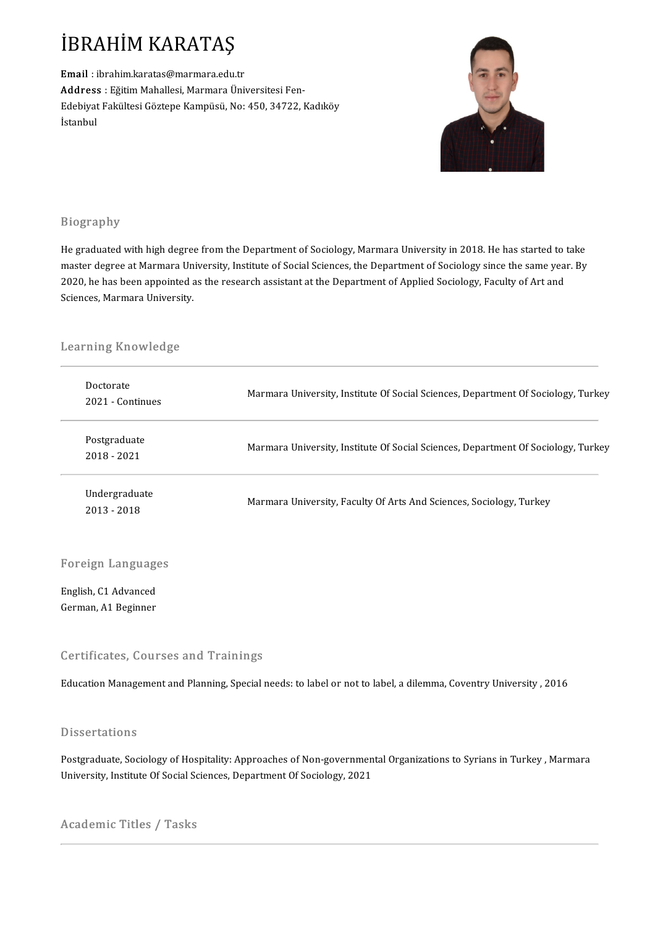# İBRAHİM KARATAŞ<br>Email : ibrahim.karatas@marmara.edu.tı

İBRAHİM KARATAŞ<br>Email : ibrahim.karatas@marmara.edu.tr<br>Address : Eğitim Mahallesi Marmara.<sup>(i</sup>b.i ADAMANALAMANA<br>Address : Eğitim Mahallesi, Marmara Üniversitesi Fen-<br>Edebiyat Felsiltesi Cöstene Kampüsü, Neu450, 34722.1 Email : ibrahim.karatas@marmara.edu.tr<br>Address : Eğitim Mahallesi, Marmara Üniversitesi Fen-<br>Edebiyat Fakültesi Göztepe Kampüsü, No: 450, 34722, Kadıköy<br>İstanbul <mark>Addres</mark>s<br>Edebiyat<br>İstanbul



## Biography

He graduated with high degree from the Department of Sociology, Marmara University in 2018. He has started to take master degree at Marmara University, Institute of Social Sciences, the Department of Sociology since the same year. By He graduated with high degree from the Department of Sociology, Marmara University in 2018. He has started to<br>master degree at Marmara University, Institute of Social Sciences, the Department of Sociology since the same ye master degree at Marmara Un<br>2020, he has been appointed a<br>Sciences, Marmara University.

# sciences, marmara universi<br>Learning Knowledge

| Learning Knowledge             |                                                                                   |
|--------------------------------|-----------------------------------------------------------------------------------|
| Doctorate<br>2021 - Continues  | Marmara University, Institute Of Social Sciences, Department Of Sociology, Turkey |
| Postgraduate<br>2018 - 2021    | Marmara University, Institute Of Social Sciences, Department Of Sociology, Turkey |
| Undergraduate<br>$2013 - 2018$ | Marmara University, Faculty Of Arts And Sciences, Sociology, Turkey               |

# Foreign Languages

Foreign Language<br>English, C1 Advanced<br>Cerman A1 Beginner English, C1 Advanced<br>German, A1 Beginner

### Certificates, Courses and Trainings

Education Management and Planning, Special needs: to label or not to label, a dilemma, Coventry University, 2016

### **Dissertations**

Postgraduate, Sociology of Hospitality: Approaches of Non-governmental Organizations to Syrians in Turkey, Marmara University, Institute Of Social Sciences, Department Of Sociology, 2021

## Academic Titles / Tasks